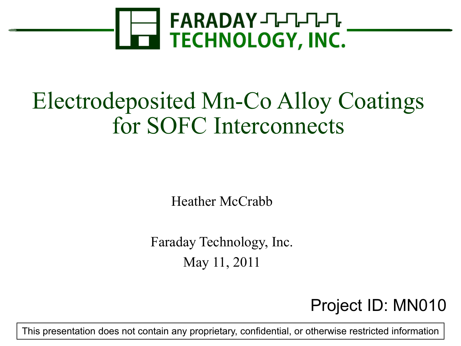

### Electrodeposited Mn-Co Alloy Coatings for SOFC Interconnects

Heather McCrabb

Faraday Technology, Inc. May 11, 2011

#### Project ID: MN010

This presentation does not contain any proprietary, confidential, or otherwise restricted information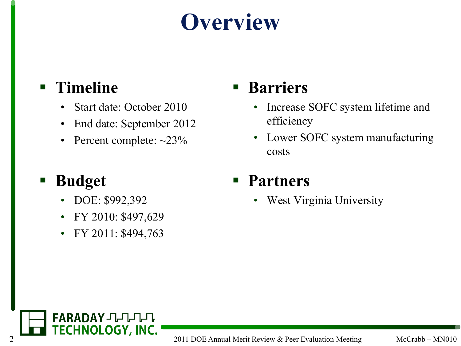## **Overview**

#### **Timeline**

- Start date: October 2010
- End date: September 2012
- Percent complete:  $\sim$ 23%

#### **Budget**

- DOE: \$992,392
- FY 2010: \$497,629
- FY 2011: \$494,763

#### **Barriers**

- Increase SOFC system lifetime and efficiency
- Lower SOFC system manufacturing costs

#### **Partners**

• West Virginia University

FARADAY JHHHH **2 2011 DOE Annual Merit Review & Peer Evaluation Meeting McCrabb – MN010**<br>2011 DOE Annual Merit Review & Peer Evaluation Meeting McCrabb – MN010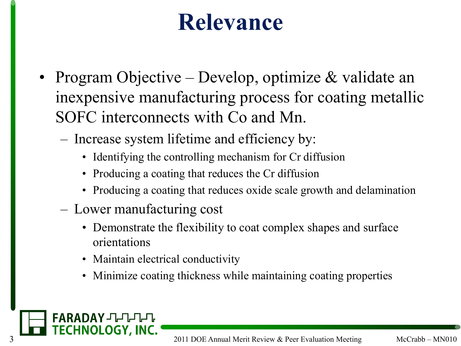#### **Relevance**

- Program Objective Develop, optimize & validate an inexpensive manufacturing process for coating metallic SOFC interconnects with Co and Mn.
	- Increase system lifetime and efficiency by:
		- Identifying the controlling mechanism for Cr diffusion
		- Producing a coating that reduces the Cr diffusion
		- Producing a coating that reduces oxide scale growth and delamination
	- Lower manufacturing cost
		- Demonstrate the flexibility to coat complex shapes and surface orientations
		- Maintain electrical conductivity
		- Minimize coating thickness while maintaining coating properties

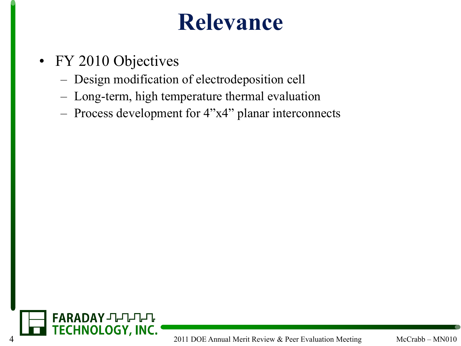#### **Relevance**

- FY 2010 Objectives
	- Design modification of electrodeposition cell
	- Long-term, high temperature thermal evaluation
	- Process development for 4"x4" planar interconnects

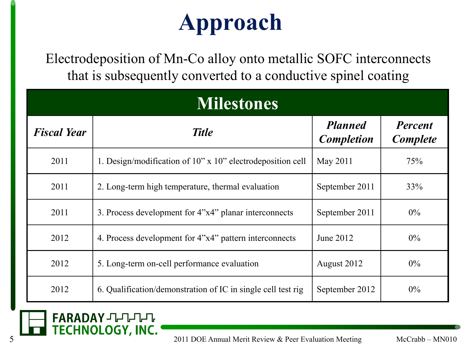# **Approach**

Electrodeposition of Mn-Co alloy onto metallic SOFC interconnects that is subsequently converted to a conductive spinel coating

| <b>Milestones</b>  |                                                              |                                     |                                   |  |  |
|--------------------|--------------------------------------------------------------|-------------------------------------|-----------------------------------|--|--|
| <b>Fiscal Year</b> | <b>Title</b>                                                 | <b>Planned</b><br><b>Completion</b> | <b>Percent</b><br><b>Complete</b> |  |  |
| 2011               | 1. Design/modification of 10" x 10" electrodeposition cell   | May 2011                            | 75%                               |  |  |
| 2011               | 2. Long-term high temperature, thermal evaluation            | September 2011                      | 33%                               |  |  |
| 2011               | 3. Process development for 4"x4" planar interconnects        | September 2011                      | $0\%$                             |  |  |
| 2012               | 4. Process development for 4"x4" pattern interconnects       | June 2012                           | $0\%$                             |  |  |
| 2012               | 5. Long-term on-cell performance evaluation                  | August 2012                         | $0\%$                             |  |  |
| 2012               | 6. Qualification/demonstration of IC in single cell test rig | September 2012                      | $0\%$                             |  |  |

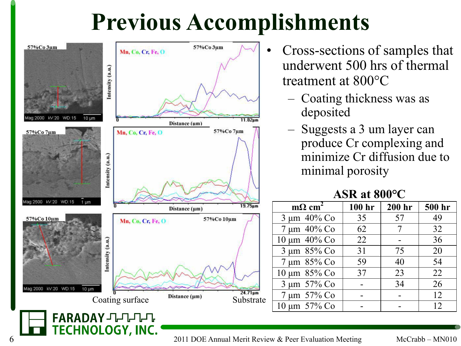## **Previous Accomplishments**



**TECHNOLOGY, INC.** 

- Cross-sections of samples that underwent 500 hrs of thermal treatment at 800°C
	- Coating thickness was as deposited
	- Suggests a 3 um layer can produce Cr complexing and minimize Cr diffusion due to minimal porosity

#### **ASR at 800°C**

| $m\Omega$ cm <sup>2</sup> | 100 hr | 200 hr | 500 hr |
|---------------------------|--------|--------|--------|
| $3 \mu m$ 40% Co          | 35     | 57     | 49     |
| 7 μm 40% Co               | 62     | 7      | 32     |
| 10 μm 40% Co              | 22     |        | 36     |
| 3 µm 85% Co               | 31     | 75     | 20     |
| 7 μm 85% Co               | 59     | 40     | 54     |
| 10 μm 85% Co              | 37     | 23     | 22     |
| 3 µm 57% Co               |        | 34     | 26     |
| 7 μm 57% Co               |        |        | 12     |
| 10 μm 57% Co              |        |        | 12     |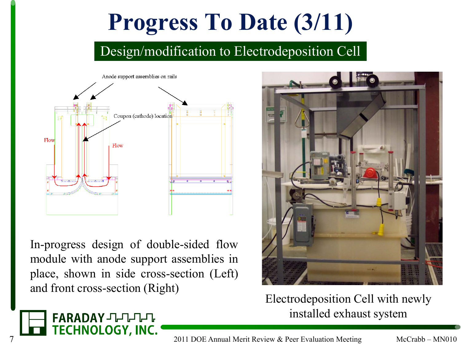#### Design/modification to Electrodeposition Cell



In-progress design of double-sided flow module with anode support assemblies in place, shown in side cross-section (Left) and front cross-section (Right)

FARADAY JULIUL

**TECHNOLOGY, INC.** 



Electrodeposition Cell with newly installed exhaust system

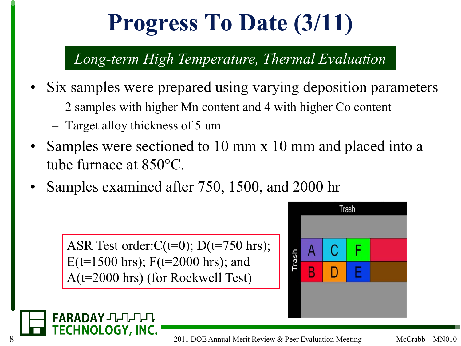#### *Long-term High Temperature, Thermal Evaluation*

- Six samples were prepared using varying deposition parameters
	- 2 samples with higher Mn content and 4 with higher Co content
	- Target alloy thickness of 5 um

FARADAY JULULU

- Samples were sectioned to 10 mm x 10 mm and placed into a tube furnace at 850°C.
- Samples examined after 750, 1500, and 2000 hr

ASR Test order: $C(t=0)$ ; D(t=750 hrs);  $E(t=1500 \text{ hrs})$ ; F(t=2000 hrs); and A(t=2000 hrs) (for Rockwell Test)



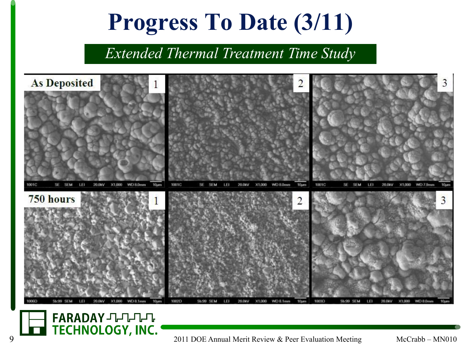*Extended Thermal Treatment Time Study*



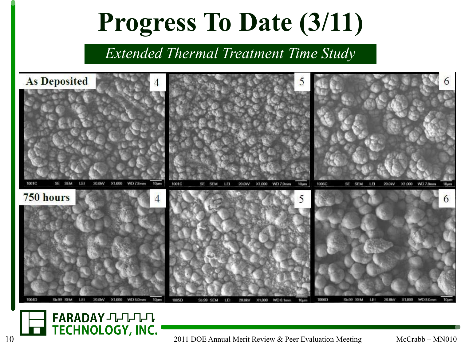*Extended Thermal Treatment Time Study*



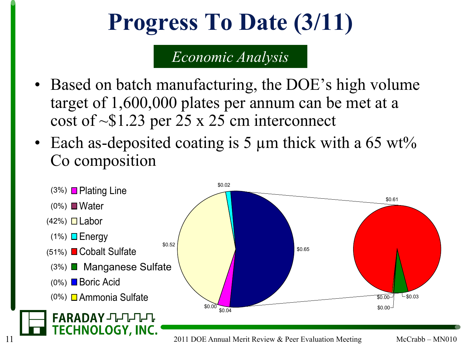#### *Economic Analysis*

- Based on batch manufacturing, the DOE's high volume target of 1,600,000 plates per annum can be met at a cost of  $\sim$ \$1.23 per 25 x 25 cm interconnect
- Each as-deposited coating is 5 µm thick with a 65 wt% Co composition

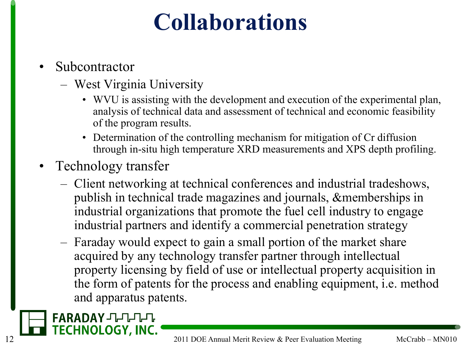## **Collaborations**

- Subcontractor
	- West Virginia University
		- WVU is assisting with the development and execution of the experimental plan, analysis of technical data and assessment of technical and economic feasibility of the program results.
		- Determination of the controlling mechanism for mitigation of Cr diffusion through in-situ high temperature XRD measurements and XPS depth profiling.
- Technology transfer
	- Client networking at technical conferences and industrial tradeshows, publish in technical trade magazines and journals, &memberships in industrial organizations that promote the fuel cell industry to engage industrial partners and identify a commercial penetration strategy
	- Faraday would expect to gain a small portion of the market share acquired by any technology transfer partner through intellectual property licensing by field of use or intellectual property acquisition in the form of patents for the process and enabling equipment, i.e. method and apparatus patents.

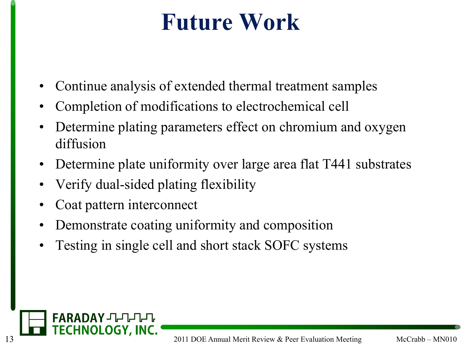### **Future Work**

- Continue analysis of extended thermal treatment samples
- Completion of modifications to electrochemical cell
- Determine plating parameters effect on chromium and oxygen diffusion
- Determine plate uniformity over large area flat T441 substrates
- Verify dual-sided plating flexibility
- Coat pattern interconnect
- Demonstrate coating uniformity and composition
- Testing in single cell and short stack SOFC systems